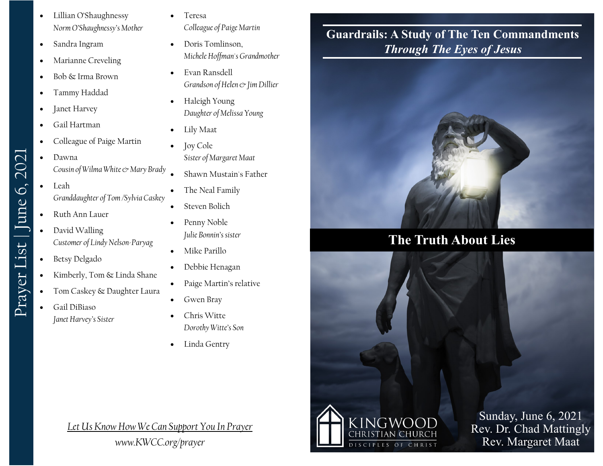- Lillian O'Shaughnessy *Norm O'Shaughnessy's Mother*
- Sandra Ingram
- Marianne Creveling
- Bob & Irma Brown
- Tammy Haddad
- Janet Harvey
- Gail Hartman
- Colleague of Paige Martin
- Dawna *Cousin of Wilma White & Mary Brady*
- Leah *Granddaughter of Tom /Sylvia Caskey*
- Ruth Ann Lauer
- David Walling *Customer of Lindy Nelson-Paryag*
- Betsy Delgado
- Kimberly, Tom & Linda Shane
- Tom Caskey & Daughter Laura
- Gail DiBiaso *Janet Harvey's Sister*

• Teresa

*Colleague of Paige Martin*

- Doris Tomlinson, *Michele Hoffman's Grandmother*
- Evan Ransdell *Grandson of Helen & Jim Dillier*
- Haleigh Young *Daughter of Melissa Young*
- Lily Maat
- Joy Cole *Sister of Margaret Maat*
- Shawn Mustain's Father
- The Neal Family
- Steven Bolich
- Penny Noble *Julie Bonnin's sister*
- Mike Parillo
- Debbie Henagan
- Paige Martin's relative
- Gwen Bray
- Chris Witte *Dorothy Witte's Son*
- Linda Gentry

*Let Us Know How We Can Support You In Prayer*

## **Guardrails: A Study of The Ten Commandments** *Through The Eyes of Jesus*



## **The Truth About Lies**



Sunday, June 6, 2021 Rev. Dr. Chad Mattingly Rev. Margaret Maat

Prayer List | June 6, 2021 Prayer List | June 6, 2021